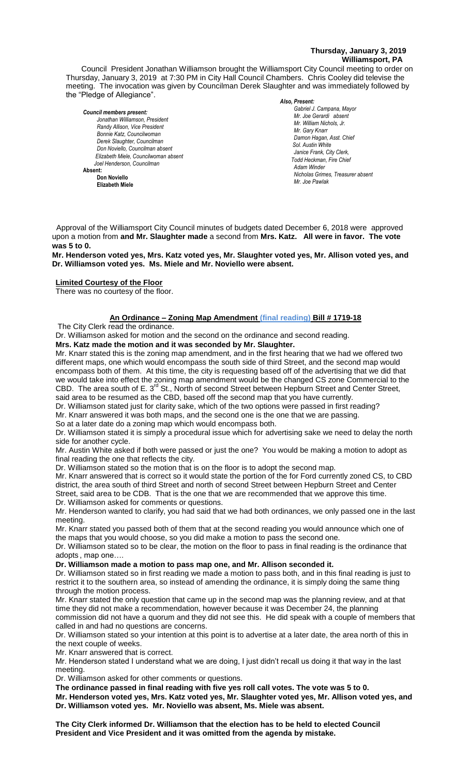# **Thursday, January 3, 2019 Williamsport, PA**

Council President Jonathan Williamson brought the Williamsport City Council meeting to order on Thursday, January 3, 2019 at 7:30 PM in City Hall Council Chambers. Chris Cooley did televise the meeting. The invocation was given by Councilman Derek Slaughter and was immediately followed by the "Pledge of Allegiance".

#### *Council members present: Jonathan Williamson, President Randy Allison, Vice President* Bill Hall, Council Hall, Council Mr. William Nic<br>Mr. Garv Knarr *Bonnie Katz, Councilwoman Derek Slaughter, Councilman Don Noviello, Councilman absent Elizabeth Miele, Councilwoman absent Joel Henderson, Councilman*  **Absent: Don Noviello Elizabeth Miele**

#### *Also, Present:*

Gabriel J. Campana, Mayor *Mr. Joe Gerardi absent Mr. Joseph Pawlak Mr. William Nichols, Jr. Mr. Joe Pawlak Mr. Gary Knarr* Adam Winder *C. Dean Heinrich, Fire Chieffer Chieffer Chieffer Chieffer Chieffer Chieffer Chieffer Chieffer Chieffer Chieffer Chieffer Chieffer Chieffer Chieffer Chieffer Chieffer Chieffer Chieffer Chie Damon Hagan, Asst. Chief Sol. Austin White Janice Frank, City Clerk, Todd Heckman, Fire Chief Adam Winder Nicholas Grimes, Treasurer absent Mr. Joe Pawlak*

Approval of the Williamsport City Council minutes of budgets dated December 6, 2018 were approved upon a motion from **and Mr. Slaughter made** a second from **Mrs. Katz. All were in favor. The vote**  *Mr. Tom Cillo C. Dean Heinbach, Fire Chief* **was 5 to 0.** *Dave Young, Police Chief Chief Heinbach absent*

**Mr. Henderson voted yes, Mrs. Katz voted yes, Mr. Slaughter voted yes, Mr. Allison voted yes, and**  *Janice Frank, City Clerk, absent* **Dr. Williamson voted yes. Ms. Miele and Mr. Noviello were absent.**

# **Limited Courtesy of the Floor**

There was no courtesy of the floor.

# **An Ordinance – Zoning Map Amendment (final reading) Bill # 1719-18** *Members of News Media*

The City Clerk read the ordinance.

Dr. Williamson asked for motion and the second on the ordinance and second reading.

## **Mrs. Katz made the motion and it was seconded by Mr. Slaughter.**

Mr. Knarr stated this is the zoning map amendment, and in the first hearing that we had we offered two different maps, one which would encompass the south side of third Street, and the second map would encompass both of them. At this time, the city is requesting based off of the advertising that we did that we would take into effect the zoning map amendment would be the changed CS zone Commercial to the CBD. The area south of E. 3<sup>rd</sup> St., North of second Street between Hepburn Street and Center Street, said area to be resumed as the CBD, based off the second map that you have currently.

Dr. Williamson stated just for clarity sake, which of the two options were passed in first reading?

Mr. Knarr answered it was both maps, and the second one is the one that we are passing.

So at a later date do a zoning map which would encompass both.

Dr. Williamson stated it is simply a procedural issue which for advertising sake we need to delay the north side for another cycle.

Mr. Austin White asked if both were passed or just the one? You would be making a motion to adopt as final reading the one that reflects the city.

Dr. Williamson stated so the motion that is on the floor is to adopt the second map.

Mr. Knarr answered that is correct so it would state the portion of the for Ford currently zoned CS, to CBD district, the area south of third Street and north of second Street between Hepburn Street and Center Street, said area to be CDB. That is the one that we are recommended that we approve this time. Dr. Williamson asked for comments or questions.

Mr. Henderson wanted to clarify, you had said that we had both ordinances, we only passed one in the last meeting.

Mr. Knarr stated you passed both of them that at the second reading you would announce which one of the maps that you would choose, so you did make a motion to pass the second one.

Dr. Williamson stated so to be clear, the motion on the floor to pass in final reading is the ordinance that adopts , map one….

## **Dr. Williamson made a motion to pass map one, and Mr. Allison seconded it.**

Dr. Williamson stated so in first reading we made a motion to pass both, and in this final reading is just to restrict it to the southern area, so instead of amending the ordinance, it is simply doing the same thing through the motion process.

Mr. Knarr stated the only question that came up in the second map was the planning review, and at that time they did not make a recommendation, however because it was December 24, the planning commission did not have a quorum and they did not see this. He did speak with a couple of members that called in and had no questions are concerns.

Dr. Williamson stated so your intention at this point is to advertise at a later date, the area north of this in the next couple of weeks.

Mr. Knarr answered that is correct.

Mr. Henderson stated I understand what we are doing, I just didn't recall us doing it that way in the last meeting.

Dr. Williamson asked for other comments or questions.

**The ordinance passed in final reading with five yes roll call votes. The vote was 5 to 0.**

**Mr. Henderson voted yes, Mrs. Katz voted yes, Mr. Slaughter voted yes, Mr. Allison voted yes, and Dr. Williamson voted yes. Mr. Noviello was absent, Ms. Miele was absent.**

**The City Clerk informed Dr. Williamson that the election has to be held to elected Council President and Vice President and it was omitted from the agenda by mistake.**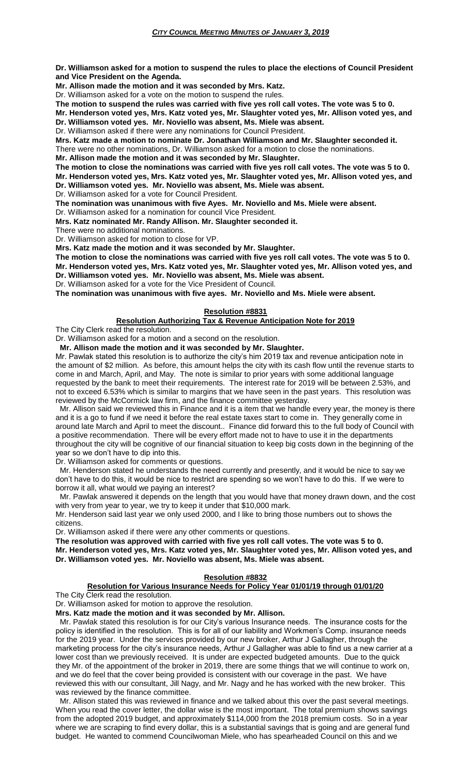**Dr. Williamson asked for a motion to suspend the rules to place the elections of Council President and Vice President on the Agenda.**

**Mr. Allison made the motion and it was seconded by Mrs. Katz.**

Dr. Williamson asked for a vote on the motion to suspend the rules.

**The motion to suspend the rules was carried with five yes roll call votes. The vote was 5 to 0.**

**Mr. Henderson voted yes, Mrs. Katz voted yes, Mr. Slaughter voted yes, Mr. Allison voted yes, and Dr. Williamson voted yes. Mr. Noviello was absent, Ms. Miele was absent.**

Dr. Williamson asked if there were any nominations for Council President.

**Mrs. Katz made a motion to nominate Dr. Jonathan Williamson and Mr. Slaughter seconded it.**

There were no other nominations, Dr. Williamson asked for a motion to close the nominations.

**Mr. Allison made the motion and it was seconded by Mr. Slaughter.**

**The motion to close the nominations was carried with five yes roll call votes. The vote was 5 to 0. Mr. Henderson voted yes, Mrs. Katz voted yes, Mr. Slaughter voted yes, Mr. Allison voted yes, and Dr. Williamson voted yes. Mr. Noviello was absent, Ms. Miele was absent.**

Dr. Williamson asked for a vote for Council President.

**The nomination was unanimous with five Ayes. Mr. Noviello and Ms. Miele were absent.**

Dr. Williamson asked for a nomination for council Vice President.

**Mrs. Katz nominated Mr. Randy Allison. Mr. Slaughter seconded it.**

There were no additional nominations.

Dr. Williamson asked for motion to close for VP.

**Mrs. Katz made the motion and it was seconded by Mr. Slaughter.**

**The motion to close the nominations was carried with five yes roll call votes. The vote was 5 to 0. Mr. Henderson voted yes, Mrs. Katz voted yes, Mr. Slaughter voted yes, Mr. Allison voted yes, and Dr. Williamson voted yes. Mr. Noviello was absent, Ms. Miele was absent.**

Dr. Williamson asked for a vote for the Vice President of Council.

**The nomination was unanimous with five ayes. Mr. Noviello and Ms. Miele were absent.**

## **Resolution #8831**

**Resolution Authorizing Tax & Revenue Anticipation Note for 2019**

The City Clerk read the resolution.

Dr. Williamson asked for a motion and a second on the resolution.

 **Mr. Allison made the motion and it was seconded by Mr. Slaughter.**

Mr. Pawlak stated this resolution is to authorize the city's him 2019 tax and revenue anticipation note in the amount of \$2 million. As before, this amount helps the city with its cash flow until the revenue starts to come in and March, April, and May. The note is similar to prior years with some additional language requested by the bank to meet their requirements. The interest rate for 2019 will be between 2.53%, and not to exceed 6.53% which is similar to margins that we have seen in the past years. This resolution was reviewed by the McCormick law firm, and the finance committee yesterday.

 Mr. Allison said we reviewed this in Finance and it is a item that we handle every year, the money is there and it is a go to fund if we need it before the real estate taxes start to come in. They generally come in around late March and April to meet the discount.. Finance did forward this to the full body of Council with a positive recommendation. There will be every effort made not to have to use it in the departments throughout the city will be cognitive of our financial situation to keep big costs down in the beginning of the year so we don't have to dip into this.

Dr. Williamson asked for comments or questions.

 Mr. Henderson stated he understands the need currently and presently, and it would be nice to say we don't have to do this, it would be nice to restrict are spending so we won't have to do this. If we were to borrow it all, what would we paying an interest?

 Mr. Pawlak answered it depends on the length that you would have that money drawn down, and the cost with very from year to year, we try to keep it under that \$10,000 mark.

Mr. Henderson said last year we only used 2000, and I like to bring those numbers out to shows the citizens.

Dr. Williamson asked if there were any other comments or questions.

**The resolution was approved with carried with five yes roll call votes. The vote was 5 to 0. Mr. Henderson voted yes, Mrs. Katz voted yes, Mr. Slaughter voted yes, Mr. Allison voted yes, and** 

**Dr. Williamson voted yes. Mr. Noviello was absent, Ms. Miele was absent.**

## **Resolution #8832**

## **Resolution for Various Insurance Needs for Policy Year 01/01/19 through 01/01/20**

The City Clerk read the resolution.

Dr. Williamson asked for motion to approve the resolution.

**Mrs. Katz made the motion and it was seconded by Mr. Allison.**

 Mr. Pawlak stated this resolution is for our City's various Insurance needs. The insurance costs for the policy is identified in the resolution. This is for all of our liability and Workmen's Comp. insurance needs for the 2019 year. Under the services provided by our new broker, Arthur J Gallagher, through the marketing process for the city's insurance needs, Arthur J Gallagher was able to find us a new carrier at a lower cost than we previously received. It is under are expected budgeted amounts. Due to the quick they Mr. of the appointment of the broker in 2019, there are some things that we will continue to work on, and we do feel that the cover being provided is consistent with our coverage in the past. We have reviewed this with our consultant, Jill Nagy, and Mr. Nagy and he has worked with the new broker. This was reviewed by the finance committee.

 Mr. Allison stated this was reviewed in finance and we talked about this over the past several meetings. When you read the cover letter, the dollar wise is the most important. The total premium shows savings from the adopted 2019 budget, and approximately \$114,000 from the 2018 premium costs. So in a year where we are scraping to find every dollar, this is a substantial savings that is going and are general fund budget. He wanted to commend Councilwoman Miele, who has spearheaded Council on this and we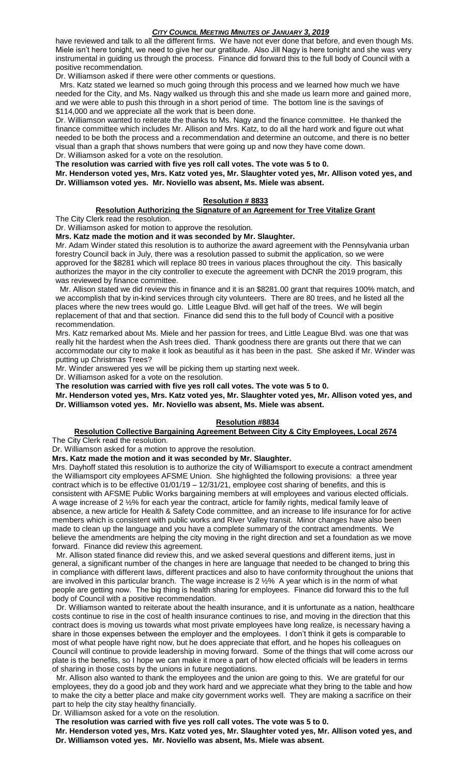## *CITY COUNCIL MEETING MINUTES OF JANUARY 3, 2019*

have reviewed and talk to all the different firms. We have not ever done that before, and even though Ms. Miele isn't here tonight, we need to give her our gratitude. Also Jill Nagy is here tonight and she was very instrumental in guiding us through the process. Finance did forward this to the full body of Council with a positive recommendation.

Dr. Williamson asked if there were other comments or questions.

 Mrs. Katz stated we learned so much going through this process and we learned how much we have needed for the City, and Ms. Nagy walked us through this and she made us learn more and gained more, and we were able to push this through in a short period of time. The bottom line is the savings of \$114,000 and we appreciate all the work that is been done.

Dr. Williamson wanted to reiterate the thanks to Ms. Nagy and the finance committee. He thanked the finance committee which includes Mr. Allison and Mrs. Katz, to do all the hard work and figure out what needed to be both the process and a recommendation and determine an outcome, and there is no better visual than a graph that shows numbers that were going up and now they have come down. Dr. Williamson asked for a vote on the resolution.

**The resolution was carried with five yes roll call votes. The vote was 5 to 0.**

**Mr. Henderson voted yes, Mrs. Katz voted yes, Mr. Slaughter voted yes, Mr. Allison voted yes, and Dr. Williamson voted yes. Mr. Noviello was absent, Ms. Miele was absent.**

## **Resolution # 8833**

## **Resolution Authorizing the Signature of an Agreement for Tree Vitalize Grant**

The City Clerk read the resolution.

Dr. Williamson asked for motion to approve the resolution.

**Mrs. Katz made the motion and it was seconded by Mr. Slaughter.**

Mr. Adam Winder stated this resolution is to authorize the award agreement with the Pennsylvania urban forestry Council back in July, there was a resolution passed to submit the application, so we were approved for the \$8281 which will replace 80 trees in various places throughout the city. This basically authorizes the mayor in the city controller to execute the agreement with DCNR the 2019 program, this was reviewed by finance committee.

 Mr. Allison stated we did review this in finance and it is an \$8281.00 grant that requires 100% match, and we accomplish that by in-kind services through city volunteers. There are 80 trees, and he listed all the places where the new trees would go. Little League Blvd. will get half of the trees. We will begin replacement of that and that section. Finance did send this to the full body of Council with a positive recommendation.

Mrs. Katz remarked about Ms. Miele and her passion for trees, and Little League Blvd. was one that was really hit the hardest when the Ash trees died. Thank goodness there are grants out there that we can accommodate our city to make it look as beautiful as it has been in the past. She asked if Mr. Winder was putting up Christmas Trees?

Mr. Winder answered yes we will be picking them up starting next week.

Dr. Williamson asked for a vote on the resolution.

**The resolution was carried with five yes roll call votes. The vote was 5 to 0.**

**Mr. Henderson voted yes, Mrs. Katz voted yes, Mr. Slaughter voted yes, Mr. Allison voted yes, and Dr. Williamson voted yes. Mr. Noviello was absent, Ms. Miele was absent.**

# **Resolution #8834**

## **Resolution Collective Bargaining Agreement Between City & City Employees, Local 2674**

The City Clerk read the resolution.

Dr. Williamson asked for a motion to approve the resolution.

**Mrs. Katz made the motion and it was seconded by Mr. Slaughter.**

Mrs. Dayhoff stated this resolution is to authorize the city of Williamsport to execute a contract amendment the Williamsport city employees AFSME Union. She highlighted the following provisions: a three year contract which is to be effective 01/01/19 – 12/31/21, employee cost sharing of benefits, and this is consistent with AFSME Public Works bargaining members at will employees and various elected officials. A wage increase of 2 ½% for each year the contract, article for family rights, medical family leave of absence, a new article for Health & Safety Code committee, and an increase to life insurance for for active members which is consistent with public works and River Valley transit. Minor changes have also been made to clean up the language and you have a complete summary of the contract amendments. We believe the amendments are helping the city moving in the right direction and set a foundation as we move forward. Finance did review this agreement.

 Mr. Allison stated finance did review this, and we asked several questions and different items, just in general, a significant number of the changes in here are language that needed to be changed to bring this in compliance with different laws, different practices and also to have conformity throughout the unions that are involved in this particular branch. The wage increase is 2 ½% A year which is in the norm of what people are getting now. The big thing is health sharing for employees. Finance did forward this to the full body of Council with a positive recommendation.

 Dr. Williamson wanted to reiterate about the health insurance, and it is unfortunate as a nation, healthcare costs continue to rise in the cost of health insurance continues to rise, and moving in the direction that this contract does is moving us towards what most private employees have long realize, is necessary having a share in those expenses between the employer and the employees. I don't think it gets is comparable to most of what people have right now, but he does appreciate that effort, and he hopes his colleagues on Council will continue to provide leadership in moving forward. Some of the things that will come across our plate is the benefits, so I hope we can make it more a part of how elected officials will be leaders in terms of sharing in those costs by the unions in future negotiations.

 Mr. Allison also wanted to thank the employees and the union are going to this. We are grateful for our employees, they do a good job and they work hard and we appreciate what they bring to the table and how to make the city a better place and make city government works well. They are making a sacrifice on their part to help the city stay healthy financially.

Dr. Williamson asked for a vote on the resolution.

**The resolution was carried with five yes roll call votes. The vote was 5 to 0.**

**Mr. Henderson voted yes, Mrs. Katz voted yes, Mr. Slaughter voted yes, Mr. Allison voted yes, and Dr. Williamson voted yes. Mr. Noviello was absent, Ms. Miele was absent.**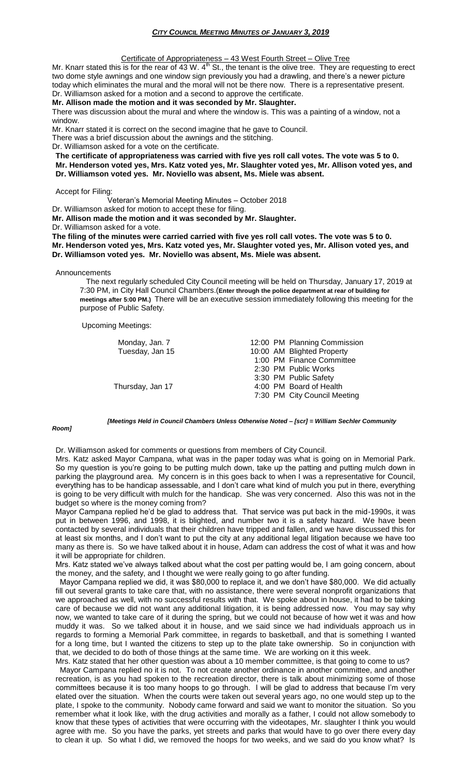#### Certificate of Appropriateness – 43 West Fourth Street – Olive Tree

Mr. Knarr stated this is for the rear of 43 W.  $4<sup>th</sup>$  St., the tenant is the olive tree. They are requesting to erect two dome style awnings and one window sign previously you had a drawling, and there's a newer picture today which eliminates the mural and the moral will not be there now. There is a representative present. Dr. Williamson asked for a motion and a second to approve the certificate.

#### **Mr. Allison made the motion and it was seconded by Mr. Slaughter.**

There was discussion about the mural and where the window is. This was a painting of a window, not a window.

Mr. Knarr stated it is correct on the second imagine that he gave to Council.

There was a brief discussion about the awnings and the stitching.

Dr. Williamson asked for a vote on the certificate.

**The certificate of appropriateness was carried with five yes roll call votes. The vote was 5 to 0. Mr. Henderson voted yes, Mrs. Katz voted yes, Mr. Slaughter voted yes, Mr. Allison voted yes, and Dr. Williamson voted yes. Mr. Noviello was absent, Ms. Miele was absent.**

# Accept for Filing:

Veteran's Memorial Meeting Minutes – October 2018

Dr. Williamson asked for motion to accept these for filing.

**Mr. Allison made the motion and it was seconded by Mr. Slaughter.**

Dr. Williamson asked for a vote.

**The filing of the minutes were carried carried with five yes roll call votes. The vote was 5 to 0. Mr. Henderson voted yes, Mrs. Katz voted yes, Mr. Slaughter voted yes, Mr. Allison voted yes, and Dr. Williamson voted yes. Mr. Noviello was absent, Ms. Miele was absent.**

#### **Announcements**

 The next regularly scheduled City Council meeting will be held on Thursday, January 17, 2019 at 7:30 PM, in City Hall Council Chambers.(**Enter through the police department at rear of building for meetings after 5:00 PM.)** There will be an executive session immediately following this meeting for the purpose of Public Safety.

Upcoming Meetings:

| Monday, Jan. 7   | 12:00 PM Planning Commission |
|------------------|------------------------------|
|                  |                              |
| Tuesday, Jan 15  | 10:00 AM Blighted Property   |
|                  | 1:00 PM Finance Committee    |
|                  | 2:30 PM Public Works         |
|                  | 3:30 PM Public Safety        |
| Thursday, Jan 17 | 4:00 PM Board of Health      |
|                  | 7:30 PM City Council Meeting |
|                  |                              |

#### *Room]*

*[Meetings Held in Council Chambers Unless Otherwise Noted – [scr] = William Sechler Community* 

### Dr. Williamson asked for comments or questions from members of City Council.

Mrs. Katz asked Mayor Campana, what was in the paper today was what is going on in Memorial Park. So my question is you're going to be putting mulch down, take up the patting and putting mulch down in parking the playground area. My concern is in this goes back to when I was a representative for Council, everything has to be handicap assessable, and I don't care what kind of mulch you put in there, everything is going to be very difficult with mulch for the handicap. She was very concerned. Also this was not in the budget so where is the money coming from?

Mayor Campana replied he'd be glad to address that. That service was put back in the mid-1990s, it was put in between 1996, and 1998, it is blighted, and number two it is a safety hazard. We have been contacted by several individuals that their children have tripped and fallen, and we have discussed this for at least six months, and I don't want to put the city at any additional legal litigation because we have too many as there is. So we have talked about it in house, Adam can address the cost of what it was and how it will be appropriate for children.

Mrs. Katz stated we've always talked about what the cost per patting would be, I am going concern, about the money, and the safety, and I thought we were really going to go after funding.

 Mayor Campana replied we did, it was \$80,000 to replace it, and we don't have \$80,000. We did actually fill out several grants to take care that, with no assistance, there were several nonprofit organizations that we approached as well, with no successful results with that. We spoke about in house, it had to be taking care of because we did not want any additional litigation, it is being addressed now. You may say why now, we wanted to take care of it during the spring, but we could not because of how wet it was and how muddy it was. So we talked about it in house, and we said since we had individuals approach us in regards to forming a Memorial Park committee, in regards to basketball, and that is something I wanted for a long time, but I wanted the citizens to step up to the plate take ownership. So in conjunction with that, we decided to do both of those things at the same time. We are working on it this week.

Mrs. Katz stated that her other question was about a 10 member committee, is that going to come to us? Mayor Campana replied no it is not. To not create another ordinance in another committee, and another recreation, is as you had spoken to the recreation director, there is talk about minimizing some of those committees because it is too many hoops to go through. I will be glad to address that because I'm very elated over the situation. When the courts were taken out several years ago, no one would step up to the plate, I spoke to the community. Nobody came forward and said we want to monitor the situation. So you remember what it look like, with the drug activities and morally as a father, I could not allow somebody to know that these types of activities that were occurring with the videotapes, Mr. slaughter I think you would agree with me. So you have the parks, yet streets and parks that would have to go over there every day to clean it up. So what I did, we removed the hoops for two weeks, and we said do you know what? Is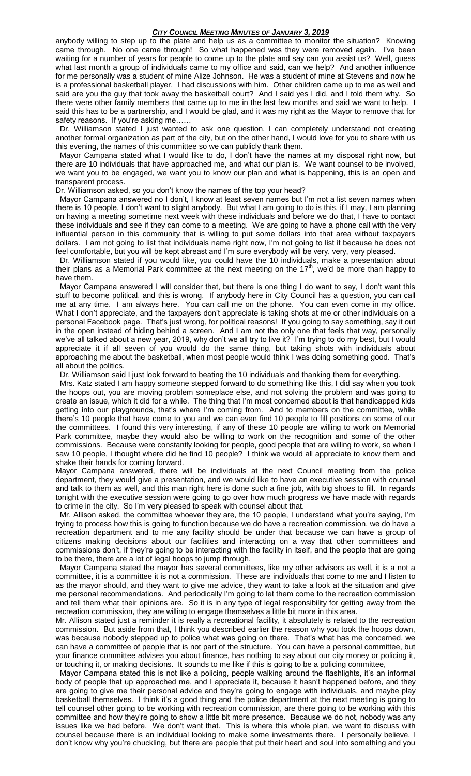## *CITY COUNCIL MEETING MINUTES OF JANUARY 3, 2019*

anybody willing to step up to the plate and help us as a committee to monitor the situation? Knowing came through. No one came through! So what happened was they were removed again. I've been waiting for a number of years for people to come up to the plate and say can you assist us? Well, guess what last month a group of individuals came to my office and said, can we help? And another influence for me personally was a student of mine Alize Johnson. He was a student of mine at Stevens and now he is a professional basketball player. I had discussions with him. Other children came up to me as well and said are you the guy that took away the basketball court? And I said yes I did, and I told them why. So there were other family members that came up to me in the last few months and said we want to help. I said this has to be a partnership, and I would be glad, and it was my right as the Mayor to remove that for safety reasons. If you're asking me......

 Dr. Williamson stated I just wanted to ask one question, I can completely understand not creating another formal organization as part of the city, but on the other hand, I would love for you to share with us this evening, the names of this committee so we can publicly thank them.

 Mayor Campana stated what I would like to do, I don't have the names at my disposal right now, but there are 10 individuals that have approached me, and what our plan is. We want counsel to be involved, we want you to be engaged, we want you to know our plan and what is happening, this is an open and transparent process.

Dr. Williamson asked, so you don't know the names of the top your head?

 Mayor Campana answered no I don't, I know at least seven names but I'm not a list seven names when there is 10 people, I don't want to slight anybody. But what I am going to do is this, if I may, I am planning on having a meeting sometime next week with these individuals and before we do that, I have to contact these individuals and see if they can come to a meeting. We are going to have a phone call with the very influential person in this community that is willing to put some dollars into that area without taxpayers dollars. I am not going to list that individuals name right now, I'm not going to list it because he does not feel comfortable, but you will be kept abreast and I'm sure everybody will be very, very, very pleased.

 Dr. Williamson stated if you would like, you could have the 10 individuals, make a presentation about their plans as a Memorial Park committee at the next meeting on the  $17<sup>th</sup>$ , we'd be more than happy to have them.

 Mayor Campana answered I will consider that, but there is one thing I do want to say, I don't want this stuff to become political, and this is wrong. If anybody here in City Council has a question, you can call me at any time. I am always here. You can call me on the phone. You can even come in my office. What I don't appreciate, and the taxpayers don't appreciate is taking shots at me or other individuals on a personal Facebook page. That's just wrong, for political reasons! If you going to say something, say it out in the open instead of hiding behind a screen. And I am not the only one that feels that way, personally we've all talked about a new year, 2019, why don't we all try to live it? I'm trying to do my best, but I would appreciate it if all seven of you would do the same thing, but taking shots with individuals about approaching me about the basketball, when most people would think I was doing something good. That's all about the politics.

Dr. Williamson said I just look forward to beating the 10 individuals and thanking them for everything.

 Mrs. Katz stated I am happy someone stepped forward to do something like this, I did say when you took the hoops out, you are moving problem someplace else, and not solving the problem and was going to create an issue, which it did for a while. The thing that I'm most concerned about is that handicapped kids getting into our playgrounds, that's where I'm coming from. And to members on the committee, while there's 10 people that have come to you and we can even find 10 people to fill positions on some of our the committees. I found this very interesting, if any of these 10 people are willing to work on Memorial Park committee, maybe they would also be willing to work on the recognition and some of the other commissions. Because were constantly looking for people, good people that are willing to work, so when I saw 10 people, I thought where did he find 10 people? I think we would all appreciate to know them and shake their hands for coming forward.

Mayor Campana answered, there will be individuals at the next Council meeting from the police department, they would give a presentation, and we would like to have an executive session with counsel and talk to them as well, and this man right here is done such a fine job, with big shoes to fill. In regards tonight with the executive session were going to go over how much progress we have made with regards to crime in the city. So I'm very pleased to speak with counsel about that.

 Mr. Allison asked, the committee whoever they are, the 10 people, I understand what you're saying, I'm trying to process how this is going to function because we do have a recreation commission, we do have a recreation department and to me any facility should be under that because we can have a group of citizens making decisions about our facilities and interacting on a way that other committees and commissions don't, if they're going to be interacting with the facility in itself, and the people that are going to be there, there are a lot of legal hoops to jump through.

 Mayor Campana stated the mayor has several committees, like my other advisors as well, it is a not a committee, it is a committee it is not a commission. These are individuals that come to me and I listen to as the mayor should, and they want to give me advice, they want to take a look at the situation and give me personal recommendations. And periodically I'm going to let them come to the recreation commission and tell them what their opinions are. So it is in any type of legal responsibility for getting away from the recreation commission, they are willing to engage themselves a little bit more in this area.

Mr. Allison stated just a reminder it is really a recreational facility, it absolutely is related to the recreation commission. But aside from that, I think you described earlier the reason why you took the hoops down, was because nobody stepped up to police what was going on there. That's what has me concerned, we can have a committee of people that is not part of the structure. You can have a personal committee, but your finance committee advises you about finance, has nothing to say about our city money or policing it, or touching it, or making decisions. It sounds to me like if this is going to be a policing committee,

 Mayor Campana stated this is not like a policing, people walking around the flashlights, it's an informal body of people that up approached me, and I appreciate it, because it hasn't happened before, and they are going to give me their personal advice and they're going to engage with individuals, and maybe play basketball themselves. I think it's a good thing and the police department at the next meeting is going to tell counsel other going to be working with recreation commission, are there going to be working with this committee and how they're going to show a little bit more presence. Because we do not, nobody was any issues like we had before. We don't want that. This is where this whole plan, we want to discuss with counsel because there is an individual looking to make some investments there. I personally believe, I don't know why you're chuckling, but there are people that put their heart and soul into something and you